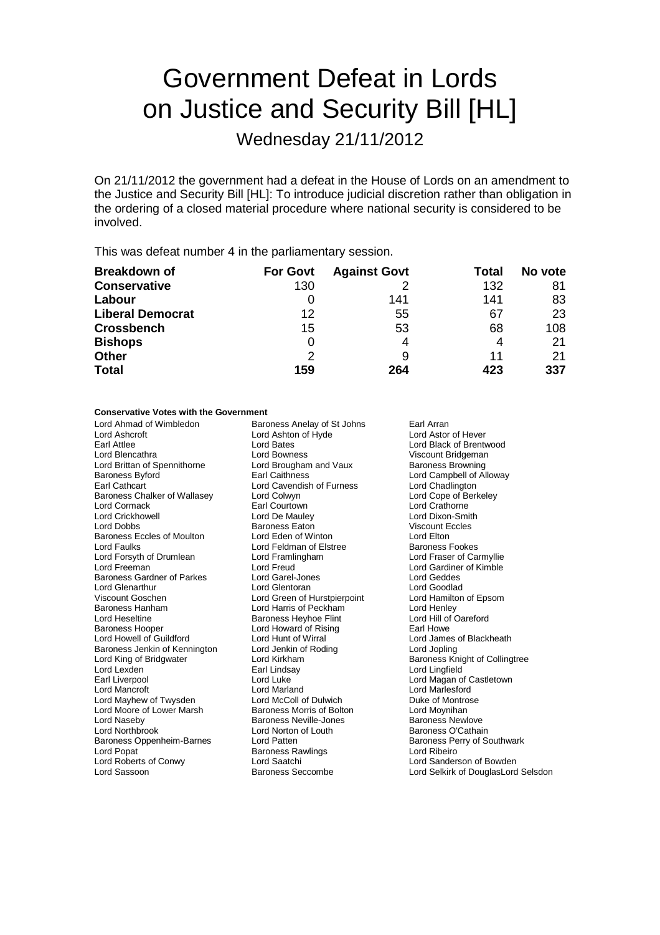# Government Defeat in Lords on Justice and Security Bill [HL]

Wednesday 21/11/2012

On 21/11/2012 the government had a defeat in the House of Lords on an amendment to the Justice and Security Bill [HL]: To introduce judicial discretion rather than obligation in the ordering of a closed material procedure where national security is considered to be involved.

This was defeat number 4 in the parliamentary session.

| <b>Breakdown of</b>     | <b>For Govt</b> | <b>Against Govt</b> | Total | No vote |
|-------------------------|-----------------|---------------------|-------|---------|
| <b>Conservative</b>     | 130             |                     | 132   | 81      |
| Labour                  |                 | 141                 | 141   | 83      |
| <b>Liberal Democrat</b> | 12              | 55                  | 67    | 23      |
| <b>Crossbench</b>       | 15              | 53                  | 68    | 108     |
| <b>Bishops</b>          | 0               | 4                   | 4     | 21      |
| <b>Other</b>            | $\mathcal{P}$   | 9                   | 11    | 21      |
| <b>Total</b>            | 159             | 264                 | 423   | 337     |

### **Conservative Votes with the Government**

| Lord Ahmad of Wimbledon           | Baroness Anelay of St Johns  | Earl Arran                          |  |
|-----------------------------------|------------------------------|-------------------------------------|--|
| Lord Ashcroft                     | Lord Ashton of Hyde          | Lord Astor of Hever                 |  |
| Earl Attlee                       | <b>Lord Bates</b>            | Lord Black of Brentwood             |  |
| Lord Blencathra                   | Lord Bowness                 | Viscount Bridgeman                  |  |
| Lord Brittan of Spennithorne      | Lord Brougham and Vaux       | <b>Baroness Browning</b>            |  |
| Baroness Byford                   | Earl Caithness               | Lord Campbell of Alloway            |  |
| Earl Cathcart                     | Lord Cavendish of Furness    | Lord Chadlington                    |  |
| Baroness Chalker of Wallasey      | Lord Colwyn                  | Lord Cope of Berkeley               |  |
| Lord Cormack                      | Earl Courtown                | Lord Crathorne                      |  |
| Lord Crickhowell                  | Lord De Mauley               | Lord Dixon-Smith                    |  |
| Lord Dobbs                        | <b>Baroness Eaton</b>        | <b>Viscount Eccles</b>              |  |
| <b>Baroness Eccles of Moulton</b> | Lord Eden of Winton          | Lord Elton                          |  |
| Lord Faulks                       | Lord Feldman of Elstree      | <b>Baroness Fookes</b>              |  |
| Lord Forsyth of Drumlean          | Lord Framlingham             | Lord Fraser of Carmyllie            |  |
| Lord Freeman                      | Lord Freud                   | Lord Gardiner of Kimble             |  |
| Baroness Gardner of Parkes        | Lord Garel-Jones             | Lord Geddes                         |  |
| Lord Glenarthur                   | Lord Glentoran               | Lord Goodlad                        |  |
| Viscount Goschen                  | Lord Green of Hurstpierpoint | Lord Hamilton of Epsom              |  |
| Baroness Hanham                   | Lord Harris of Peckham       | Lord Henley                         |  |
| Lord Heseltine                    | Baroness Heyhoe Flint        | Lord Hill of Oareford               |  |
| Baroness Hooper                   | Lord Howard of Rising        | Earl Howe                           |  |
| Lord Howell of Guildford          | Lord Hunt of Wirral          | Lord James of Blackheath            |  |
| Baroness Jenkin of Kennington     | Lord Jenkin of Roding        | Lord Jopling                        |  |
| Lord King of Bridgwater           | Lord Kirkham                 | Baroness Knight of Collingtree      |  |
| Lord Lexden                       | Earl Lindsay                 | Lord Lingfield                      |  |
| Earl Liverpool                    | Lord Luke                    | Lord Magan of Castletown            |  |
| Lord Mancroft                     | Lord Marland                 | <b>Lord Marlesford</b>              |  |
| Lord Mayhew of Twysden            | Lord McColl of Dulwich       | Duke of Montrose                    |  |
| Lord Moore of Lower Marsh         | Baroness Morris of Bolton    | Lord Moynihan                       |  |
| Lord Naseby                       | Baroness Neville-Jones       | <b>Baroness Newlove</b>             |  |
| Lord Northbrook                   | Lord Norton of Louth         | Baroness O'Cathain                  |  |
| Baroness Oppenheim-Barnes         | Lord Patten                  | Baroness Perry of Southwark         |  |
| Lord Popat                        | <b>Baroness Rawlings</b>     | Lord Ribeiro                        |  |
| Lord Roberts of Conwy             | Lord Saatchi                 | Lord Sanderson of Bowden            |  |
| Lord Sassoon                      | <b>Baroness Seccombe</b>     | Lord Selkirk of DouglasLord Selsdon |  |
|                                   |                              |                                     |  |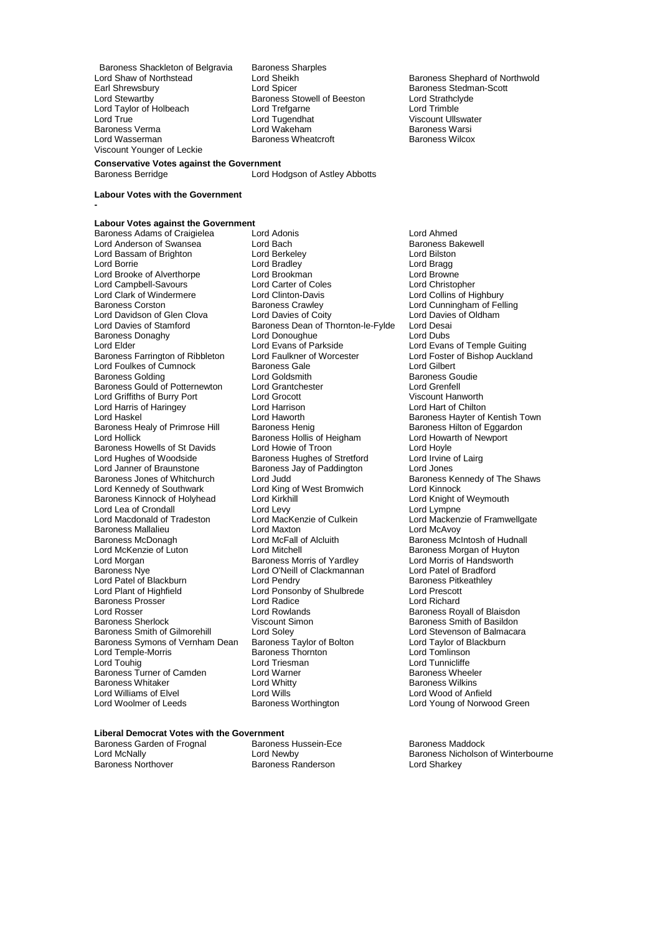Baroness Shackleton of Belgravia Baroness Sharples<br>
Lord Shaw of Northstead Lord Sheikh Lord Shaw of Northstead **Lord Sheikh Baroness Shephard of Northwold**<br>
Lord Shephard Baroness Stedman-Scott<br>
Baroness Stedman-Scott Earl Shrewsbury **Earl Shrewsbury** Lord Spicer **Baroness Stedman-Scott**<br>
Lord Stewartby **Baroness Stowell of Beeston** Lord Strathclyde Lord Taylor of Holbeach Lord Trefgarne<br>
Lord True Lord Trefgarne<br>
Lord True Lord Tugendhat Baroness Verma Lord Wakeham Baroness Warsi Viscount Younger of Leckie

Baroness Stowell of Beeston Lord Strathcly<br>
Lord Trefgarne Lord Trimble Lord Tugendhat **Viscount Ullswater**<br>
Lord Wakeham **Victory Control Control Control Baroness Warsi** Baroness Wheatcroft

Lord Hodgson of Astley Abbotts

### **Labour Votes with the Government**

**-**

**Conservative Votes against the Government**

**Labour Votes against the Government** Baroness Adams of Craigielea Lord Adonis Lord Ahmed Lord Anderson of Swansea Lord Bach Baroness Baroness Baroness Baroness Baroness Baroness Baroness Baroness Baroness Baroness Baroness Baroness Baroness Baroness Baroness Baroness Baroness Baroness Baroness Baroness Barones Lord Bassam of Brighton Lord Berkeley<br>
Lord Borrie Cord Bradley Lord Brooke of Alverthorpe Lord Brookman and Lord Brookman Lord Brookman Lord Browne<br>
Lord Campbell-Savours Lord Carter of Coles Lord Christopher Lord Campbell-Savours Lord Carter of Cole<br>
Lord Clark of Windermere<br>
Lord Clinton-Davis Lord Clark of Windermere Lord Clinton-Davis Lord Collins of Highbury<br>Baroness Corston Baroness Crawley Lord Cunningham of Fell Lord Davidson of Glen Clova Lord Davies of Coity Lord Davies Lord Davies Lord Davies Lord Desai<br>Lord Davies of Stamford Baroness Dean of Thornton-le-Fylde Lord Desai Baroness Donaghy **Constant Lord Donoughue**<br>
Lord Elder<br>
Lord Evans of Parkside Baroness Farrington of Ribbleton Lord Faulkner of Worcester Lord Foster of Bishop Auckland Lord Foulkes of Cumnock **Baroness Gale** Lord Gilbert Lord Gilbert Baroness Golding The Lord Goldsmith<br>Baroness Gould of Potternewton Lord Grantchester The Lord Grenfell Baroness Gould of Potternewton Lord Grantchester The Lord Grenfell<br>Lord Griffiths of Burry Port Lord Grocott Lord Grocott Niscount Hanworth Lord Griffiths of Burry Port Lord Grocott Viscount Hanworth Lord Harris of Haringey **Lord Harrison**<br>
Lord Haskel Chilton Lord Haworth Baroness Healy of Primrose Hill Baroness Henig Baroness Healy of Eggardoness Hilton of Eggardoness Hollis of Heigham Baroness Hollis of Heigham Lord Howarth of Newport Baroness Howells of St Davids Lord Howie of Troon Lord Hoyle<br>
Lord Hughes of Woodside Baroness Hughes of Stretford Lord Irvine of Lairg Lord Hughes of Woodside **Baroness Hughes of Stretford** Lord Irvine Cord Irvine<br>Lord Janner of Braunstone **Baroness Jay of Paddington** Lord Jones Lord Janner of Braunstone<br>
Baroness Jones of Whitchurch<br>
Lord Judd<br>
Lord Judd Baroness Jones of Whitchurch Lord Judd<br>
Lord Kennedy of Southwark Lord King of West Bromwich Lord Kinnock<br>
Lord Kennedy of Southwark Lord King of West Bromwich Lord Kinnock Baroness Kinnock of Holyhead Lord Kirkhill Lord Lord Lord Crondall Lord Lord Lord Lord Lord Lord Lympne Lord Lea of Crondall Lord Levy Lord Lympne Baroness Mallalieu **Christian Lord Maxton**<br>Baroness McDonagh **Lord McFall of Alcluith** Lord McKenzie of Luton Lord Mitchell Cord Michell Baroness Morgan of Huyton<br>Lord Morgan Cord Baroness Morris of Yardley Lord Morris of Handsworth Lord Morgan **Baroness Morris of Yardley** Lord Morris of Handsworth Baroness Morris of Handsworth Cord Morris of Handsworth Cord Patel of Bradford<br>Baroness Nye **Morris Cord Andrew Cord Cord Cord Cord And Andrew Cord Patel o** Lord Patel of Blackburn Lord Pendry Cord Pendry Baroness Pitk<br>
Lord Plant of Highfield Lord Ponsonby of Shulbrede Lord Prescott Baroness Prosser and Lord Radice<br>
Lord Rosser Lord Rowlands Lord Rosser **Lord Rowlands**<br>
Baroness Sherlock **Notain Communist Communist Communist Communist Communist Communist Communist Communist Communist Communist Communist Communist Communist Communist Communist Communist Communi** Baroness Sherlock **Charlock** Viscount Simon<br>Baroness Smith of Gilmorehill Lord Soley **Baroness Smith of Balmacar** Baroness Symons of Vernham Dean Baroness Taylor of Bolton Lord Taylor of B<br>Lord Temple-Morris Corp Baroness Thornton Lord Tomlinson Lord Temple-Morris Baroness Thornton Lord Tomlinson Baroness Turner of Camden Lord Warner Communist Charoness Wheeler Baroness Wheeler Baroness White<br>
Baroness Whitaker Communist Communist Communist Communist Communist Communist Charoness Wilkins Baroness Whitaker Lord Whitty<br>
Lord Williams of Elvel Lord Wills

Lord Bradley **Lord Bragg Lord Bragg Lord Browne** Baroness Crawley **Constructs** Lord Cunningham of Felling<br>
Lord Davies of Coity **Constructs** Lord Davies of Oldham Baroness Dean of Thornton-le-Fylde Lord Desai<br>Lord Donoughue Lord Dubs Lord Evans of Parkside<br>
Lord Eaulkner of Worcester<br>
Lord Foster of Bishop Auckland Baroness Hollis of Heigham Lord Howarth Lord Howarth Cord Hoyle<br>
Lord Howie of Troon Lord King of West Bromwich Lord Kinnock<br>
Lord Kirkhill Cord Knight of Weymouth Lord MacKenzie of Culkein Lord Mackenzie of Framwellgate<br>
Lord Maxton Lord McAvoy Lord O'Neill of Clackmannan Lord Patel of Bradford<br>Lord Pendry Clackmannan Baroness Pitkeathlev Lord Ponsonby of Shulbrede Lord Prescott<br>
Lord Radice Cord Richard Lord Soley<br>
Baroness Taylor of Bolton<br>
Lord Taylor of Blackburn<br>
Lord Taylor of Blackburn Lord Triesman and Lord Tunnicliffe<br>
Lord Warner More Baroness Wheeler Lord Wills<br>
Baroness Worthington<br>
Lord Young of Norwoo Lord Woolmer of Leeds Baroness Worthington Lord Young of Norwood Green

Lord Haworth **Baroness Hayter of Kentish Town**<br>
Baroness Henig **Baroness Hilton** of Eggardon Baroness McIntosh of Hudnall

## **Liberal Democrat Votes with the Government**

Baroness Garden of Frognal Baroness Hussein-Ece Baroness Maddock<br>
Lord McNally Cord Newby<br>
Lord Mewby Corean Baroness Nicholson

Baroness Randerson

Lord McNally **Lord Newby** Lord Newby **Baroness Nicholson of Winterbourne**<br>
Baroness Northover **Baroness Randerson** Lord Sharkev